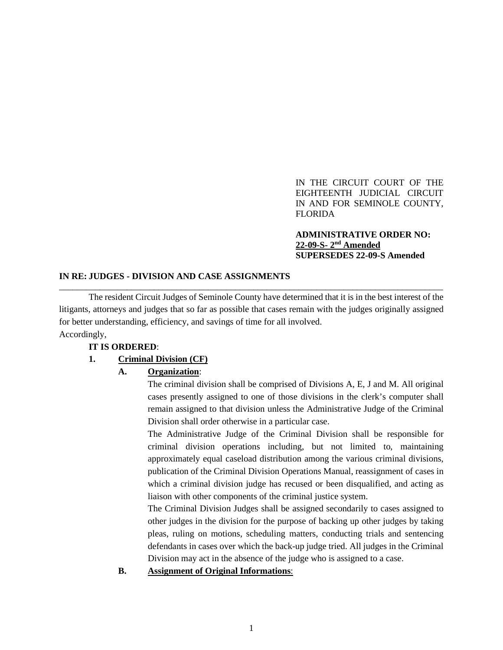IN THE CIRCUIT COURT OF THE EIGHTEENTH JUDICIAL CIRCUIT IN AND FOR SEMINOLE COUNTY, FLORIDA

### **ADMINISTRATIVE ORDER NO: 22-09-S- 2nd Amended SUPERSEDES 22-09-S Amended**

#### **IN RE: JUDGES - DIVISION AND CASE ASSIGNMENTS**

The resident Circuit Judges of Seminole County have determined that it is in the best interest of the litigants, attorneys and judges that so far as possible that cases remain with the judges originally assigned for better understanding, efficiency, and savings of time for all involved. Accordingly,

\_\_\_\_\_\_\_\_\_\_\_\_\_\_\_\_\_\_\_\_\_\_\_\_\_\_\_\_\_\_\_\_\_\_\_\_\_\_\_\_\_\_\_\_\_\_\_\_\_\_\_\_\_\_\_\_\_\_\_\_\_\_\_\_\_\_\_\_\_\_\_\_\_\_\_\_\_\_\_\_\_\_\_\_\_

### **IT IS ORDERED**:

### **1. Criminal Division (CF)**

### **A. Organization**:

The criminal division shall be comprised of Divisions A, E, J and M. All original cases presently assigned to one of those divisions in the clerk's computer shall remain assigned to that division unless the Administrative Judge of the Criminal Division shall order otherwise in a particular case.

The Administrative Judge of the Criminal Division shall be responsible for criminal division operations including, but not limited to, maintaining approximately equal caseload distribution among the various criminal divisions, publication of the Criminal Division Operations Manual, reassignment of cases in which a criminal division judge has recused or been disqualified, and acting as liaison with other components of the criminal justice system.

The Criminal Division Judges shall be assigned secondarily to cases assigned to other judges in the division for the purpose of backing up other judges by taking pleas, ruling on motions, scheduling matters, conducting trials and sentencing defendants in cases over which the back-up judge tried. All judges in the Criminal Division may act in the absence of the judge who is assigned to a case.

#### **B. Assignment of Original Informations**: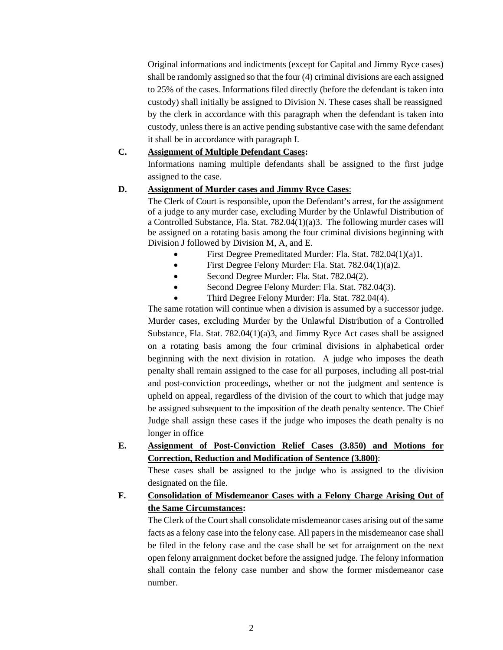Original informations and indictments (except for Capital and Jimmy Ryce cases) shall be randomly assigned so that the four (4) criminal divisions are each assigned to 25% of the cases. Informations filed directly (before the defendant is taken into custody) shall initially be assigned to Division N. These cases shall be reassigned by the clerk in accordance with this paragraph when the defendant is taken into custody, unless there is an active pending substantive case with the same defendant it shall be in accordance with paragraph I.

### **C. Assignment of Multiple Defendant Cases:**

Informations naming multiple defendants shall be assigned to the first judge assigned to the case.

## **D. Assignment of Murder cases and Jimmy Ryce Cases**:

The Clerk of Court is responsible, upon the Defendant's arrest, for the assignment of a judge to any murder case, excluding Murder by the Unlawful Distribution of a Controlled Substance, Fla. Stat. 782.04(1)(a)3. The following murder cases will be assigned on a rotating basis among the four criminal divisions beginning with Division J followed by Division M, A, and E.

- First Degree Premeditated Murder: Fla. Stat. 782.04(1)(a)1.
- First Degree Felony Murder: Fla. Stat. 782.04(1)(a)2.
- Second Degree Murder: Fla. Stat. 782.04(2).
- Second Degree Felony Murder: Fla. Stat. 782.04(3).
- Third Degree Felony Murder: Fla. Stat. 782.04(4).

The same rotation will continue when a division is assumed by a successor judge. Murder cases, excluding Murder by the Unlawful Distribution of a Controlled Substance, Fla. Stat. 782.04(1)(a)3, and Jimmy Ryce Act cases shall be assigned on a rotating basis among the four criminal divisions in alphabetical order beginning with the next division in rotation. A judge who imposes the death penalty shall remain assigned to the case for all purposes, including all post-trial and post-conviction proceedings, whether or not the judgment and sentence is upheld on appeal, regardless of the division of the court to which that judge may be assigned subsequent to the imposition of the death penalty sentence. The Chief Judge shall assign these cases if the judge who imposes the death penalty is no longer in office

**E. Assignment of Post-Conviction Relief Cases (3.850) and Motions for Correction, Reduction and Modification of Sentence (3.800)**:

These cases shall be assigned to the judge who is assigned to the division designated on the file.

## **F. Consolidation of Misdemeanor Cases with a Felony Charge Arising Out of the Same Circumstances:**

The Clerk of the Court shall consolidate misdemeanor cases arising out of the same facts as a felony case into the felony case. All papers in the misdemeanor case shall be filed in the felony case and the case shall be set for arraignment on the next open felony arraignment docket before the assigned judge. The felony information shall contain the felony case number and show the former misdemeanor case number.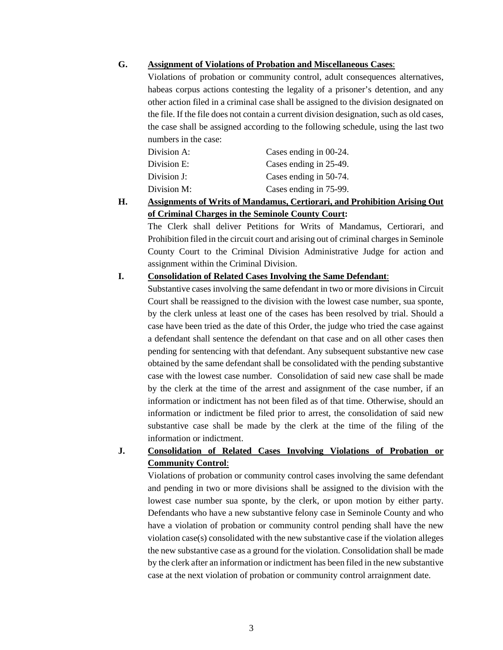### **G. Assignment of Violations of Probation and Miscellaneous Cases**:

Violations of probation or community control, adult consequences alternatives, habeas corpus actions contesting the legality of a prisoner's detention, and any other action filed in a criminal case shall be assigned to the division designated on the file. If the file does not contain a current division designation, such as old cases, the case shall be assigned according to the following schedule, using the last two numbers in the case:

| Division A: | Cases ending in 00-24. |
|-------------|------------------------|
| Division E: | Cases ending in 25-49. |
| Division J: | Cases ending in 50-74. |
| Division M: | Cases ending in 75-99. |

## **H. Assignments of Writs of Mandamus, Certiorari, and Prohibition Arising Out of Criminal Charges in the Seminole County Court:**

The Clerk shall deliver Petitions for Writs of Mandamus, Certiorari, and Prohibition filed in the circuit court and arising out of criminal charges in Seminole County Court to the Criminal Division Administrative Judge for action and assignment within the Criminal Division.

## **I. Consolidation of Related Cases Involving the Same Defendant**:

Substantive cases involving the same defendant in two or more divisions in Circuit Court shall be reassigned to the division with the lowest case number, sua sponte, by the clerk unless at least one of the cases has been resolved by trial. Should a case have been tried as the date of this Order, the judge who tried the case against a defendant shall sentence the defendant on that case and on all other cases then pending for sentencing with that defendant. Any subsequent substantive new case obtained by the same defendant shall be consolidated with the pending substantive case with the lowest case number. Consolidation of said new case shall be made by the clerk at the time of the arrest and assignment of the case number, if an information or indictment has not been filed as of that time. Otherwise, should an information or indictment be filed prior to arrest, the consolidation of said new substantive case shall be made by the clerk at the time of the filing of the information or indictment.

## **J. Consolidation of Related Cases Involving Violations of Probation or Community Control**:

Violations of probation or community control cases involving the same defendant and pending in two or more divisions shall be assigned to the division with the lowest case number sua sponte, by the clerk, or upon motion by either party. Defendants who have a new substantive felony case in Seminole County and who have a violation of probation or community control pending shall have the new violation case(s) consolidated with the new substantive case if the violation alleges the new substantive case as a ground for the violation. Consolidation shall be made by the clerk after an information or indictment has been filed in the new substantive case at the next violation of probation or community control arraignment date.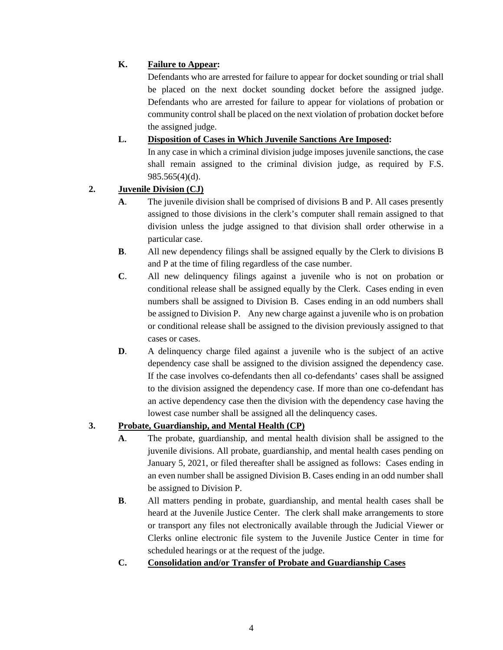## **K. Failure to Appear:**

Defendants who are arrested for failure to appear for docket sounding or trial shall be placed on the next docket sounding docket before the assigned judge. Defendants who are arrested for failure to appear for violations of probation or community control shall be placed on the next violation of probation docket before the assigned judge.

## **L. Disposition of Cases in Which Juvenile Sanctions Are Imposed:**

In any case in which a criminal division judge imposes juvenile sanctions, the case shall remain assigned to the criminal division judge, as required by F.S. 985.565(4)(d).

## **2. Juvenile Division (CJ)**

- **A**. The juvenile division shall be comprised of divisions B and P. All cases presently assigned to those divisions in the clerk's computer shall remain assigned to that division unless the judge assigned to that division shall order otherwise in a particular case.
- **B**. All new dependency filings shall be assigned equally by the Clerk to divisions B and P at the time of filing regardless of the case number.
- **C**. All new delinquency filings against a juvenile who is not on probation or conditional release shall be assigned equally by the Clerk. Cases ending in even numbers shall be assigned to Division B. Cases ending in an odd numbers shall be assigned to Division P. Any new charge against a juvenile who is on probation or conditional release shall be assigned to the division previously assigned to that cases or cases.
- **D.** A delinquency charge filed against a juvenile who is the subject of an active dependency case shall be assigned to the division assigned the dependency case. If the case involves co-defendants then all co-defendants' cases shall be assigned to the division assigned the dependency case. If more than one co-defendant has an active dependency case then the division with the dependency case having the lowest case number shall be assigned all the delinquency cases.

# **3. Probate, Guardianship, and Mental Health (CP)**

- **A**. The probate, guardianship, and mental health division shall be assigned to the juvenile divisions. All probate, guardianship, and mental health cases pending on January 5, 2021, or filed thereafter shall be assigned as follows: Cases ending in an even number shall be assigned Division B. Cases ending in an odd number shall be assigned to Division P.
- **B**. All matters pending in probate, guardianship, and mental health cases shall be heard at the Juvenile Justice Center. The clerk shall make arrangements to store or transport any files not electronically available through the Judicial Viewer or Clerks online electronic file system to the Juvenile Justice Center in time for scheduled hearings or at the request of the judge.
- **C. Consolidation and/or Transfer of Probate and Guardianship Cases**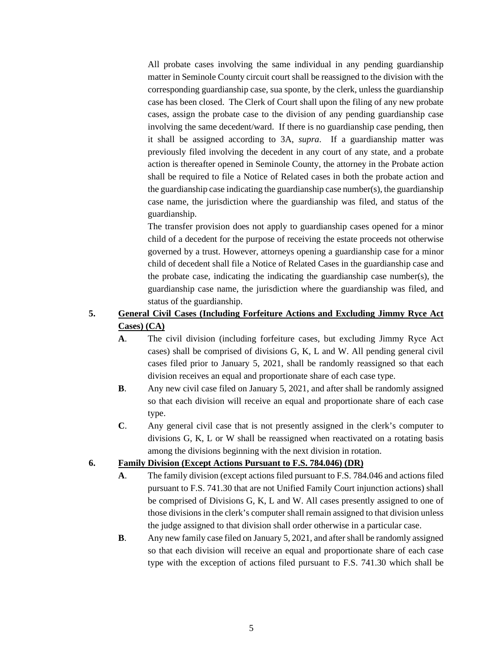All probate cases involving the same individual in any pending guardianship matter in Seminole County circuit court shall be reassigned to the division with the corresponding guardianship case, sua sponte, by the clerk, unless the guardianship case has been closed. The Clerk of Court shall upon the filing of any new probate cases, assign the probate case to the division of any pending guardianship case involving the same decedent/ward. If there is no guardianship case pending, then it shall be assigned according to 3A, *supra*. If a guardianship matter was previously filed involving the decedent in any court of any state, and a probate action is thereafter opened in Seminole County, the attorney in the Probate action shall be required to file a Notice of Related cases in both the probate action and the guardianship case indicating the guardianship case number(s), the guardianship case name, the jurisdiction where the guardianship was filed, and status of the guardianship.

The transfer provision does not apply to guardianship cases opened for a minor child of a decedent for the purpose of receiving the estate proceeds not otherwise governed by a trust. However, attorneys opening a guardianship case for a minor child of decedent shall file a Notice of Related Cases in the guardianship case and the probate case, indicating the indicating the guardianship case number(s), the guardianship case name, the jurisdiction where the guardianship was filed, and status of the guardianship.

## **5. General Civil Cases (Including Forfeiture Actions and Excluding Jimmy Ryce Act Cases) (CA)**

- **A**. The civil division (including forfeiture cases, but excluding Jimmy Ryce Act cases) shall be comprised of divisions G, K, L and W. All pending general civil cases filed prior to January 5, 2021, shall be randomly reassigned so that each division receives an equal and proportionate share of each case type.
- **B**. Any new civil case filed on January 5, 2021, and after shall be randomly assigned so that each division will receive an equal and proportionate share of each case type.
- **C**. Any general civil case that is not presently assigned in the clerk's computer to divisions G, K, L or W shall be reassigned when reactivated on a rotating basis among the divisions beginning with the next division in rotation.

## **6. Family Division (Except Actions Pursuant to F.S. 784.046) (DR)**

- **A**. The family division (except actions filed pursuant to F.S. 784.046 and actions filed pursuant to F.S. 741.30 that are not Unified Family Court injunction actions) shall be comprised of Divisions G, K, L and W. All cases presently assigned to one of those divisions in the clerk's computer shall remain assigned to that division unless the judge assigned to that division shall order otherwise in a particular case.
- **B**. Any new family case filed on January 5, 2021, and after shall be randomly assigned so that each division will receive an equal and proportionate share of each case type with the exception of actions filed pursuant to F.S. 741.30 which shall be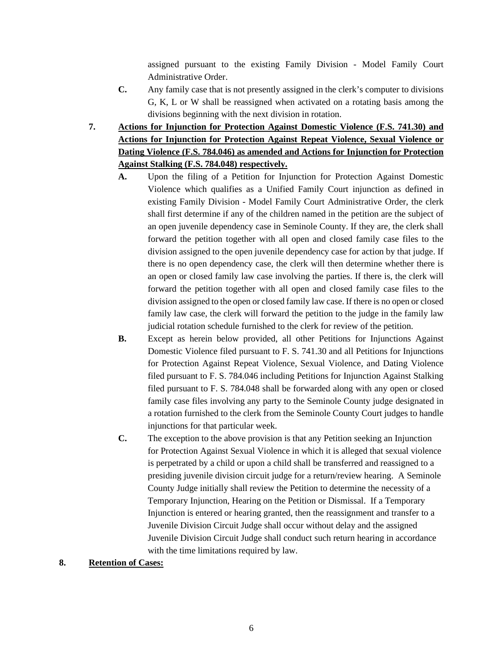assigned pursuant to the existing Family Division - Model Family Court Administrative Order.

- **C.** Any family case that is not presently assigned in the clerk's computer to divisions G, K, L or W shall be reassigned when activated on a rotating basis among the divisions beginning with the next division in rotation.
- **7. Actions for Injunction for Protection Against Domestic Violence (F.S. 741.30) and Actions for Injunction for Protection Against Repeat Violence, Sexual Violence or Dating Violence (F.S. 784.046) as amended and Actions for Injunction for Protection Against Stalking (F.S. 784.048) respectively.**
	- **A.** Upon the filing of a Petition for Injunction for Protection Against Domestic Violence which qualifies as a Unified Family Court injunction as defined in existing Family Division - Model Family Court Administrative Order, the clerk shall first determine if any of the children named in the petition are the subject of an open juvenile dependency case in Seminole County. If they are, the clerk shall forward the petition together with all open and closed family case files to the division assigned to the open juvenile dependency case for action by that judge. If there is no open dependency case, the clerk will then determine whether there is an open or closed family law case involving the parties. If there is, the clerk will forward the petition together with all open and closed family case files to the division assigned to the open or closed family law case. If there is no open or closed family law case, the clerk will forward the petition to the judge in the family law judicial rotation schedule furnished to the clerk for review of the petition.
	- **B.** Except as herein below provided, all other Petitions for Injunctions Against Domestic Violence filed pursuant to F. S. 741.30 and all Petitions for Injunctions for Protection Against Repeat Violence, Sexual Violence, and Dating Violence filed pursuant to F. S. 784.046 including Petitions for Injunction Against Stalking filed pursuant to F. S. 784.048 shall be forwarded along with any open or closed family case files involving any party to the Seminole County judge designated in a rotation furnished to the clerk from the Seminole County Court judges to handle injunctions for that particular week.
	- **C.** The exception to the above provision is that any Petition seeking an Injunction for Protection Against Sexual Violence in which it is alleged that sexual violence is perpetrated by a child or upon a child shall be transferred and reassigned to a presiding juvenile division circuit judge for a return/review hearing. A Seminole County Judge initially shall review the Petition to determine the necessity of a Temporary Injunction, Hearing on the Petition or Dismissal. If a Temporary Injunction is entered or hearing granted, then the reassignment and transfer to a Juvenile Division Circuit Judge shall occur without delay and the assigned Juvenile Division Circuit Judge shall conduct such return hearing in accordance with the time limitations required by law.

### **8. Retention of Cases:**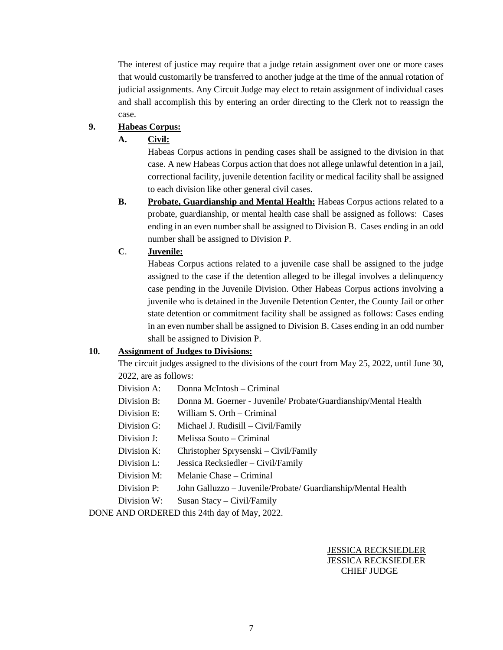The interest of justice may require that a judge retain assignment over one or more cases that would customarily be transferred to another judge at the time of the annual rotation of judicial assignments. Any Circuit Judge may elect to retain assignment of individual cases and shall accomplish this by entering an order directing to the Clerk not to reassign the case.

### **9. Habeas Corpus:**

## **A. Civil:**

Habeas Corpus actions in pending cases shall be assigned to the division in that case. A new Habeas Corpus action that does not allege unlawful detention in a jail, correctional facility, juvenile detention facility or medical facility shall be assigned to each division like other general civil cases.

**B. Probate, Guardianship and Mental Health:** Habeas Corpus actions related to a probate, guardianship, or mental health case shall be assigned as follows: Cases ending in an even number shall be assigned to Division B. Cases ending in an odd number shall be assigned to Division P.

## **C**. **Juvenile:**

Habeas Corpus actions related to a juvenile case shall be assigned to the judge assigned to the case if the detention alleged to be illegal involves a delinquency case pending in the Juvenile Division. Other Habeas Corpus actions involving a juvenile who is detained in the Juvenile Detention Center, the County Jail or other state detention or commitment facility shall be assigned as follows: Cases ending in an even number shall be assigned to Division B. Cases ending in an odd number shall be assigned to Division P.

### **10. Assignment of Judges to Divisions:**

The circuit judges assigned to the divisions of the court from May 25, 2022, until June 30, 2022, are as follows:

- Division A: Donna McIntosh Criminal
- Division B: Donna M. Goerner Juvenile/ Probate/Guardianship/Mental Health
- Division E: William S. Orth Criminal
- Division G: Michael J. Rudisill Civil/Family
- Division J: Melissa Souto Criminal
- Division K: Christopher Sprysenski Civil/Family
- Division L: Jessica Recksiedler Civil/Family
- Division M: Melanie Chase Criminal
- Division P: John Galluzzo Juvenile/Probate/ Guardianship/Mental Health
- Division W: Susan Stacy Civil/Family

DONE AND ORDERED this 24th day of May, 2022.

### JESSICA RECKSIEDLER JESSICA RECKSIEDLER CHIEF JUDGE